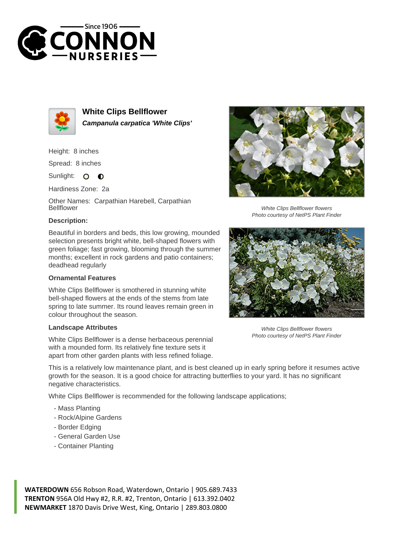



**White Clips Bellflower Campanula carpatica 'White Clips'**

Height: 8 inches

Spread: 8 inches

Sunlight: 0  $\bullet$ 

Hardiness Zone: 2a

Other Names: Carpathian Harebell, Carpathian Bellflower

## **Description:**

Beautiful in borders and beds, this low growing, mounded selection presents bright white, bell-shaped flowers with green foliage; fast growing, blooming through the summer months; excellent in rock gardens and patio containers; deadhead regularly

## **Ornamental Features**

White Clips Bellflower is smothered in stunning white bell-shaped flowers at the ends of the stems from late spring to late summer. Its round leaves remain green in colour throughout the season.

## **Landscape Attributes**

White Clips Bellflower is a dense herbaceous perennial with a mounded form. Its relatively fine texture sets it apart from other garden plants with less refined foliage.



White Clips Bellflower flowers Photo courtesy of NetPS Plant Finder



White Clips Bellflower flowers Photo courtesy of NetPS Plant Finder

This is a relatively low maintenance plant, and is best cleaned up in early spring before it resumes active growth for the season. It is a good choice for attracting butterflies to your yard. It has no significant negative characteristics.

White Clips Bellflower is recommended for the following landscape applications;

- Mass Planting
- Rock/Alpine Gardens
- Border Edging
- General Garden Use
- Container Planting

**WATERDOWN** 656 Robson Road, Waterdown, Ontario | 905.689.7433 **TRENTON** 956A Old Hwy #2, R.R. #2, Trenton, Ontario | 613.392.0402 **NEWMARKET** 1870 Davis Drive West, King, Ontario | 289.803.0800